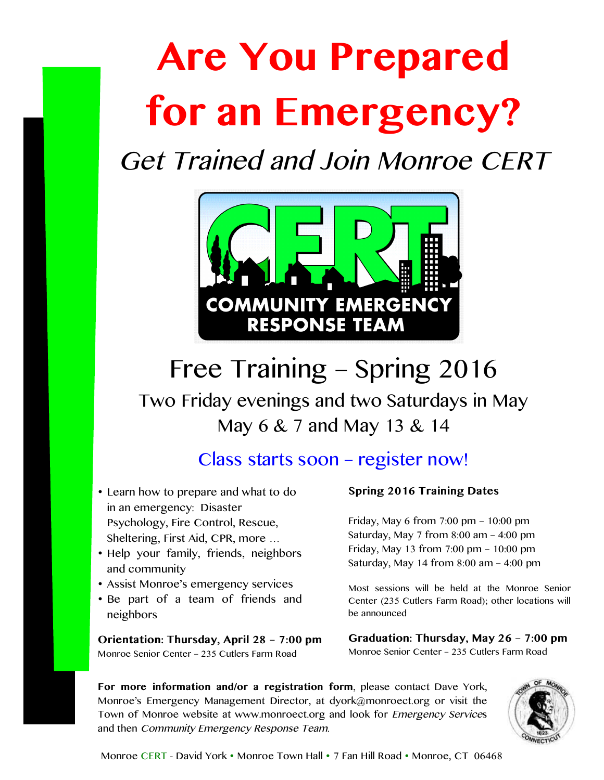# **Are You Prepared for an Emergency?**

Get Trained and Join Monroe CERT



# Free Training – Spring 2016

Two Friday evenings and two Saturdays in May May 6 & 7 and May 13 & 14

### Class starts soon – register now!

- Learn how to prepare and what to do in an emergency: Disaster Psychology, Fire Control, Rescue, Sheltering, First Aid, CPR, more …
- Help your family, friends, neighbors and community
- Assist Monroe's emergency services
- Be part of a team of friends and neighbors

**Orientation: Thursday, April 28 – 7:00 pm** Monroe Senior Center – 235 Cutlers Farm Road

#### **Spring 2016 Training Dates**

Friday, May 6 from 7:00 pm – 10:00 pm Saturday, May 7 from 8:00 am – 4:00 pm Friday, May 13 from 7:00 pm – 10:00 pm Saturday, May 14 from 8:00 am – 4:00 pm

Most sessions will be held at the Monroe Senior Center (235 Cutlers Farm Road); other locations will be announced

**Graduation: Thursday, May 26 – 7:00 pm** Monroe Senior Center – 235 Cutlers Farm Road

**For more information and/or a registration form**, please contact Dave York, Monroe's Emergency Management Director, at dyork@monroect.org or visit the Town of Monroe website at www.monroect.org and look for Emergency Services and then Community Emergency Response Team.